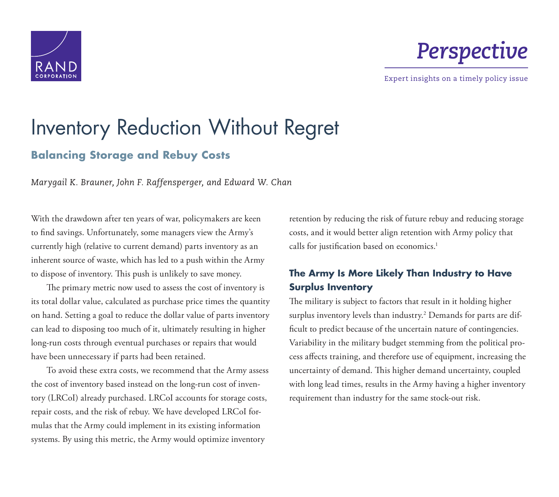

# *Perspective*

Expert insights on a timely policy issue

# Inventory Reduction Without Regret

# **Balancing Storage and Rebuy Costs**

*Marygail K. Brauner, John F. Raffensperger, and Edward W. Chan* 

With the drawdown after ten years of war, policymakers are keen to find savings. Unfortunately, some managers view the Army's currently high (relative to current demand) parts inventory as an inherent source of waste, which has led to a push within the Army to dispose of inventory. This push is unlikely to save money.

The primary metric now used to assess the cost of inventory is its total dollar value, calculated as purchase price times the quantity on hand. Setting a goal to reduce the dollar value of parts inventory can lead to disposing too much of it, ultimately resulting in higher long-run costs through eventual purchases or repairs that would have been unnecessary if parts had been retained.

To avoid these extra costs, we recommend that the Army assess the cost of inventory based instead on the long-run cost of inventory (LRCoI) already purchased. LRCoI accounts for storage costs, repair costs, and the risk of rebuy. We have developed LRCoI formulas that the Army could implement in its existing information systems. By using this metric, the Army would optimize inventory

retention by reducing the risk of future rebuy and reducing storage costs, and it would better align retention with Army policy that calls for justification based on economics.<sup>1</sup>

## **The Army Is More Likely Than Industry to Have Surplus Inventory**

The military is subject to factors that result in it holding higher surplus inventory levels than industry.2 Demands for parts are difficult to predict because of the uncertain nature of contingencies. Variability in the military budget stemming from the political process affects training, and therefore use of equipment, increasing the uncertainty of demand. This higher demand uncertainty, coupled with long lead times, results in the Army having a higher inventory requirement than industry for the same stock-out risk.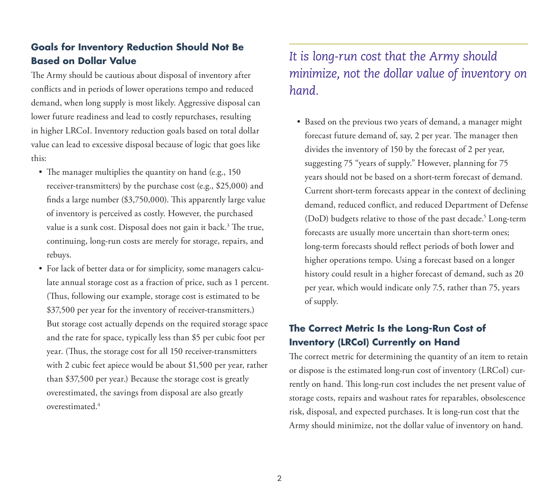## **Goals for Inventory Reduction Should Not Be Based on Dollar Value**

The Army should be cautious about disposal of inventory after conflicts and in periods of lower operations tempo and reduced demand, when long supply is most likely. Aggressive disposal can lower future readiness and lead to costly repurchases, resulting in higher LRCoI. Inventory reduction goals based on total dollar value can lead to excessive disposal because of logic that goes like this:

- The manager multiplies the quantity on hand (e.g., 150) receiver-transmitters) by the purchase cost (e.g., \$25,000) and finds a large number (\$3,750,000). This apparently large value of inventory is perceived as costly. However, the purchased value is a sunk cost. Disposal does not gain it back.<sup>3</sup> The true, continuing, long-run costs are merely for storage, repairs, and rebuys.
- For lack of better data or for simplicity, some managers calculate annual storage cost as a fraction of price, such as 1 percent. (Thus, following our example, storage cost is estimated to be \$37,500 per year for the inventory of receiver-transmitters.) But storage cost actually depends on the required storage space and the rate for space, typically less than \$5 per cubic foot per year. (Thus, the storage cost for all 150 receiver-transmitters with 2 cubic feet apiece would be about \$1,500 per year, rather than \$37,500 per year.) Because the storage cost is greatly overestimated, the savings from disposal are also greatly overestimated.4

# *It is long-run cost that the Army should minimize, not the dollar value of inventory on hand.*

• Based on the previous two years of demand, a manager might forecast future demand of, say, 2 per year. The manager then divides the inventory of 150 by the forecast of 2 per year, suggesting 75 "years of supply." However, planning for 75 years should not be based on a short-term forecast of demand. Current short-term forecasts appear in the context of declining demand, reduced conflict, and reduced Department of Defense (DoD) budgets relative to those of the past decade.<sup>5</sup> Long-term forecasts are usually more uncertain than short-term ones; long-term forecasts should reflect periods of both lower and higher operations tempo. Using a forecast based on a longer history could result in a higher forecast of demand, such as 20 per year, which would indicate only 7.5, rather than 75, years of supply.

## **The Correct Metric Is the Long-Run Cost of Inventory (LRCoI) Currently on Hand**

The correct metric for determining the quantity of an item to retain or dispose is the estimated long-run cost of inventory (LRCoI) currently on hand. This long-run cost includes the net present value of storage costs, repairs and washout rates for reparables, obsolescence risk, disposal, and expected purchases. It is long-run cost that the Army should minimize, not the dollar value of inventory on hand.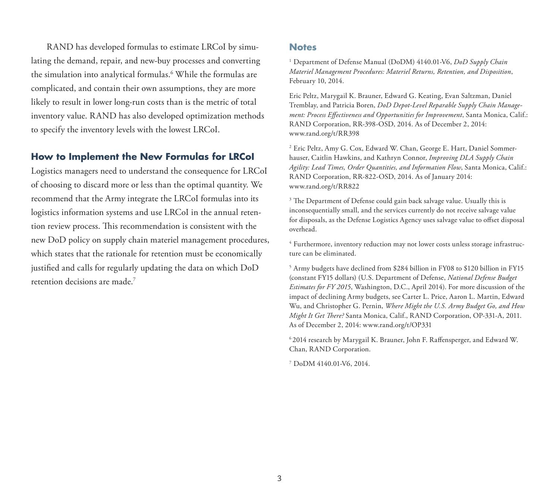RAND has developed formulas to estimate LRCoI by simulating the demand, repair, and new-buy processes and converting the simulation into analytical formulas.6 While the formulas are complicated, and contain their own assumptions, they are more likely to result in lower long-run costs than is the metric of total inventory value. RAND has also developed optimization methods to specify the inventory levels with the lowest LRCoI.

#### **How to Implement the New Formulas for LRCoI**

Logistics managers need to understand the consequence for LRCoI of choosing to discard more or less than the optimal quantity. We recommend that the Army integrate the LRCoI formulas into its logistics information systems and use LRCoI in the annual retention review process. This recommendation is consistent with the new DoD policy on supply chain materiel management procedures, which states that the rationale for retention must be economically justified and calls for regularly updating the data on which DoD retention decisions are made.7

#### **Notes**

1 Department of Defense Manual (DoDM) 4140.01-V6, *DoD Supply Chain Materiel Management Procedures: Materiel Returns, Retention, and Disposition*, February 10, 2014.

Eric Peltz, Marygail K. Brauner, Edward G. Keating, Evan Saltzman, Daniel Tremblay, and Patricia Boren, *DoD Depot-Level Reparable Supply Chain Management: Process Effectiveness and Opportunities for Improvement*, Santa Monica, Calif.: RAND Corporation, RR-398-OSD, 2014. As of December 2, 2014: [www.rand.org/t/RR398](http://www.rand.org/t/RR398) 

2 Eric Peltz, Amy G. Cox, Edward W. Chan, George E. Hart, Daniel Sommerhauser, Caitlin Hawkins, and Kathryn Connor, *Improving DLA Supply Chain Agility: Lead Times, Order Quantities, and Information Flow*, Santa Monica, Calif.: RAND Corporation, RR-822-OSD, 2014. As of January 2014: [www.rand.org/t/RR822](http://www.rand.org/t/RR822)

<sup>3</sup> The Department of Defense could gain back salvage value. Usually this is inconsequentially small, and the services currently do not receive salvage value for disposals, as the Defense Logistics Agency uses salvage value to offset disposal overhead.

4 Furthermore, inventory reduction may not lower costs unless storage infrastructure can be eliminated.

5 Army budgets have declined from \$284 billion in FY08 to \$120 billion in FY15 (constant FY15 dollars) (U.S. Department of Defense, *National Defense Budget Estimates for FY 2015*, Washington, D.C., April 2014). For more discussion of the impact of declining Army budgets, see Carter L. Price, Aaron L. Martin, Edward Wu, and Christopher G. Pernin, *Where Might the U.S. Army Budget Go, and How Might It Get There?* Santa Monica, Calif., RAND Corporation, OP-331-A, 2011. As of December 2, 2014: [www.rand.org/t/OP331](http://www.rand.org/t/OP331)

6 2014 research by Marygail K. Brauner, John F. Raffensperger, and Edward W. Chan, RAND Corporation.

7 DoDM 4140.01-V6, 2014.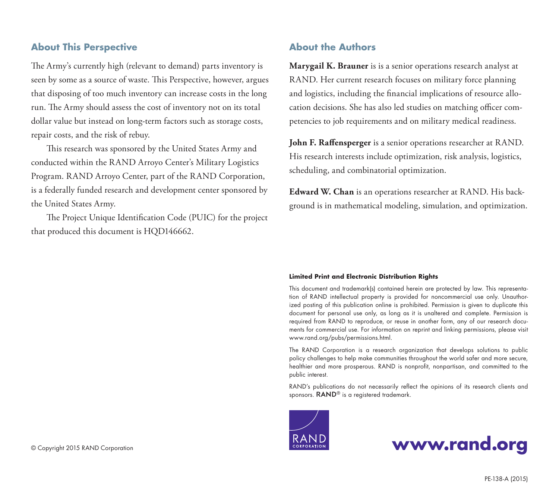#### **About This Perspective**

The Army's currently high (relevant to demand) parts inventory is seen by some as a source of waste. This Perspective, however, argues that disposing of too much inventory can increase costs in the long run. The Army should assess the cost of inventory not on its total dollar value but instead on long-term factors such as storage costs, repair costs, and the risk of rebuy.

This research was sponsored by the United States Army and conducted within the RAND Arroyo Center's Military Logistics Program. RAND Arroyo Center, part of the RAND Corporation, is a federally funded research and development center sponsored by the United States Army.

The Project Unique Identification Code (PUIC) for the project that produced this document is HQD146662.

### **About the Authors**

**Marygail K. Brauner** is is a senior operations research analyst at RAND. Her current research focuses on military force planning and logistics, including the financial implications of resource allocation decisions. She has also led studies on matching officer competencies to job requirements and on military medical readiness.

**John F. Raffensperger** is a senior operations researcher at RAND. His research interests include optimization, risk analysis, logistics, scheduling, and combinatorial optimization.

**Edward W. Chan** is an operations researcher at RAND. His background is in mathematical modeling, simulation, and optimization.

#### **Limited Print and Electronic Distribution Rights**

This document and trademark(s) contained herein are protected by law. This representation of RAND intellectual property is provided for noncommercial use only. Unauthorized posting of this publication online is prohibited. Permission is given to duplicate this document for personal use only, as long as it is unaltered and complete. Permission is required from RAND to reproduce, or reuse in another form, any of our research documents for commercial use. For information on reprint and linking permissions, please visit [www.rand.org/pubs/permissions.html.](http://www.rand.org/pubs/permissions.html)

The RAND Corporation is a research organization that develops solutions to public policy challenges to help make communities throughout the world safer and more secure, healthier and more prosperous. RAND is nonprofit, nonpartisan, and committed to the public interest.

RAND's publications do not necessarily reflect the opinions of its research clients and sponsors. RAND<sup>®</sup> is a registered trademark.